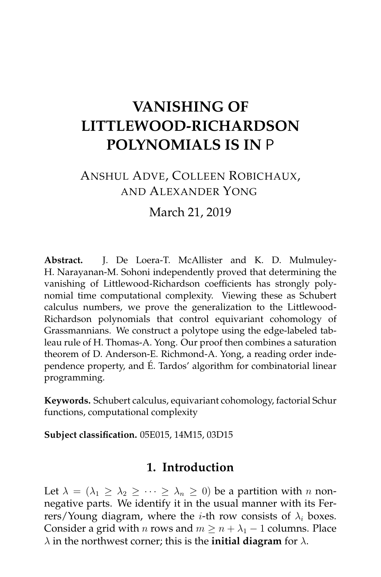# **VANISHING OF LITTLEWOOD-RICHARDSON POLYNOMIALS IS IN** P

## ANSHUL ADVE, COLLEEN ROBICHAUX, AND ALEXANDER YONG

#### March 21, 2019

**Abstract.** J. De Loera-T. McAllister and K. D. Mulmuley-H. Narayanan-M. Sohoni independently proved that determining the vanishing of Littlewood-Richardson coefficients has strongly polynomial time computational complexity. Viewing these as Schubert calculus numbers, we prove the generalization to the Littlewood-Richardson polynomials that control equivariant cohomology of Grassmannians. We construct a polytope using the edge-labeled tableau rule of H. Thomas-A. Yong. Our proof then combines a saturation theorem of D. Anderson-E. Richmond-A. Yong, a reading order independence property, and É. Tardos' algorithm for combinatorial linear programming.

**Keywords.** Schubert calculus, equivariant cohomology, factorial Schur functions, computational complexity

**Subject classification.** 05E015, 14M15, 03D15

### **1. Introduction**

Let  $\lambda = (\lambda_1 \geq \lambda_2 \geq \cdots \geq \lambda_n \geq 0)$  be a partition with *n* nonnegative parts. We identify it in the usual manner with its Ferrers/Young diagram, where the *i*-th row consists of  $\lambda_i$  boxes. Consider a grid with *n* rows and  $m \ge n + \lambda_1 - 1$  columns. Place  $\lambda$  in the northwest corner; this is the **initial diagram** for  $\lambda$ .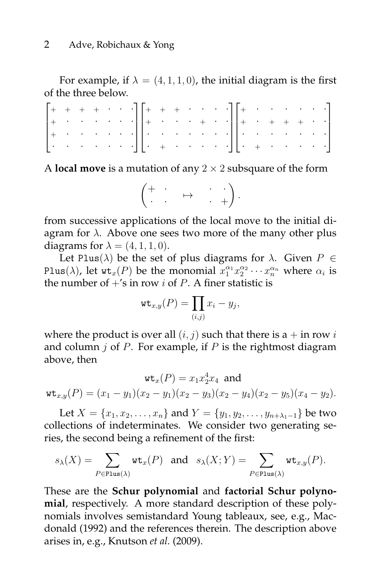For example, if  $\lambda = (4, 1, 1, 0)$ , the initial diagram is the first of the three below.

|  |  |  |  | $\begin{bmatrix} + & + & + & + & \cdot & \cdot & \cdot \\ + & \cdot & \cdot & \cdot & \cdot & \cdot & \cdot \\ + & \cdot & \cdot & \cdot & \cdot & \cdot & \cdot & \cdot \\ \end{bmatrix} \begin{bmatrix} + & + & + & \cdot & \cdot & \cdot & \cdot & \cdot \\ + & \cdot & \cdot & \cdot & \cdot & \cdot & \cdot \\ \cdot & \cdot & \cdot & \cdot & \cdot & \cdot & \cdot \\ \end{bmatrix} \begin{bmatrix} + & \cdot & \cdot & \cdot & \cdot & \cdot & \cdot \\ + & \cdot & \cdot & \cdot & \cdot & \cdot & \cdot \\ \cdot & \cdot & \cdot & \cdot & \cdot & \cdot & \cdot \\ \cdot & \cdot & \$ |  |  |  |  |  |  |  |
|--|--|--|--|--------------------------------------------------------------------------------------------------------------------------------------------------------------------------------------------------------------------------------------------------------------------------------------------------------------------------------------------------------------------------------------------------------------------------------------------------------------------------------------------------------------------------------------------------------------------------------------------------|--|--|--|--|--|--|--|
|  |  |  |  |                                                                                                                                                                                                                                                                                                                                                                                                                                                                                                                                                                                                  |  |  |  |  |  |  |  |
|  |  |  |  |                                                                                                                                                                                                                                                                                                                                                                                                                                                                                                                                                                                                  |  |  |  |  |  |  |  |
|  |  |  |  | [contract excel][experience][experience]                                                                                                                                                                                                                                                                                                                                                                                                                                                                                                                                                         |  |  |  |  |  |  |  |

A **local move** is a mutation of any  $2 \times 2$  subsquare of the form

| $\begin{pmatrix} + & \cdot \\ \cdot & \cdot \end{pmatrix}$ | $\mapsto$ | $\begin{pmatrix} 1 & 1 \\ 1 & 1 \end{pmatrix}$ . |
|------------------------------------------------------------|-----------|--------------------------------------------------|
|                                                            |           |                                                  |

from successive applications of the local move to the initial diagram for  $\lambda$ . Above one sees two more of the many other plus diagrams for  $\lambda = (4, 1, 1, 0)$ .

Let Plus( $\lambda$ ) be the set of plus diagrams for  $\lambda$ . Given  $P \in$ Plus( $\lambda$ ), let  $\texttt{wt}_x(P)$  be the monomial  $x_1^{\alpha_1} x_2^{\alpha_2} \cdots x_n^{\alpha_n}$  where  $\alpha_i$  is the number of  $\pm$ 's in row *i* of P. A finer statistic is

$$
\operatorname{wt}_{x,y}(P) = \prod_{(i,j)} x_i - y_j,
$$

where the product is over all  $(i, j)$  such that there is a + in row i and column  $j$  of  $P$ . For example, if  $P$  is the rightmost diagram above, then

$$
\text{wt}_x(P) = x_1 x_2^4 x_4 \text{ and}
$$
  

$$
\text{wt}_{x,y}(P) = (x_1 - y_1)(x_2 - y_1)(x_2 - y_3)(x_2 - y_4)(x_2 - y_5)(x_4 - y_2).
$$

Let  $X = \{x_1, x_2, \ldots, x_n\}$  and  $Y = \{y_1, y_2, \ldots, y_{n+\lambda_1-1}\}$  be two collections of indeterminates. We consider two generating series, the second being a refinement of the first:

$$
s_\lambda(X)=\sum_{P\in \text{Plus}(\lambda)}\texttt{wt}_x(P)\ \ \text{and}\ \ s_\lambda(X;Y)=\sum_{P\in \text{Plus}(\lambda)}\texttt{wt}_{x,y}(P).
$$

These are the **Schur polynomial** and **factorial Schur polynomial**, respectively. A more standard description of these polynomials involves semistandard Young tableaux, see, e.g., Macdonald (1992) and the references therein. The description above arises in, e.g., Knutson *et al.* (2009).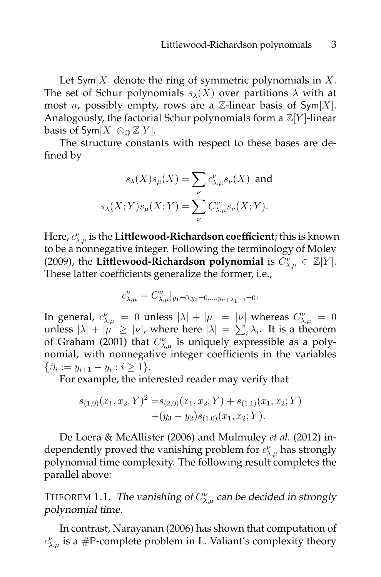Let  $Sym[X]$  denote the ring of symmetric polynomials in X. The set of Schur polynomials  $s_{\lambda}(X)$  over partitions  $\lambda$  with at most *n*, possibly empty, rows are a  $\mathbb{Z}$ -linear basis of Sym[X]. Analogously, the factorial Schur polynomials form a  $\mathbb{Z}[Y]$ -linear basis of Sym[X]  $\otimes_{\mathbb{Q}} \mathbb{Z}[Y]$ .

The structure constants with respect to these bases are defined by

$$
s_{\lambda}(X)s_{\mu}(X) = \sum_{\nu} c_{\lambda,\mu}^{\nu} s_{\nu}(X) \text{ and}
$$
  

$$
s_{\lambda}(X;Y)s_{\mu}(X;Y) = \sum_{\nu} C_{\lambda,\mu}^{\nu} s_{\nu}(X;Y).
$$

Here,  $c_{\lambda,\mu}^{\nu}$  is the **Littlewood-Richardson coefficient**; this is known to be a nonnegative integer. Following the terminology of Molev (2009), the Littlewood-Richardson polynomial is  $C^{\nu}_{\lambda,\mu} \in \mathbb{Z}[Y].$ These latter coefficients generalize the former, i.e.,

$$
c_{\lambda,\mu}^{\nu}=C_{\lambda,\mu}^{\nu}|_{y_1=0,y_2=0,\ldots,y_{n+\lambda_1-1}=0}.
$$

In general,  $c^{\nu}_{\lambda,\mu} = 0$  unless  $|\lambda| + |\mu| = |\nu|$  whereas  $C^{\nu}_{\lambda,\mu} = 0$ unless  $|\lambda| + |\mu| \geq |\nu|$ , where here  $|\lambda| = \sum_i \lambda_i$ . It is a theorem of Graham (2001) that  $C_{\lambda,\mu}^{\nu}$  is uniquely expressible as a polynomial, with nonnegative integer coefficients in the variables  $\{\beta_i := y_{i+1} - y_i : i \geq 1\}.$ 

For example, the interested reader may verify that

$$
s_{(1,0)}(x_1, x_2; Y)^2 = s_{(2,0)}(x_1, x_2; Y) + s_{(1,1)}(x_1, x_2; Y) + (y_3 - y_2)s_{(1,0)}(x_1, x_2; Y).
$$

De Loera & McAllister (2006) and Mulmuley *et al.* (2012) independently proved the vanishing problem for  $c^{\nu}_{\lambda,\mu}$  has strongly polynomial time complexity. The following result completes the parallel above:

THEOREM 1.1. The vanishing of  $C_{\lambda,\mu}^{\nu}$  can be decided in strongly polynomial time.

In contrast, Narayanan (2006) has shown that computation of  $c^{\nu}_{\lambda,\mu}$  is a #P-complete problem in L. Valiant's complexity theory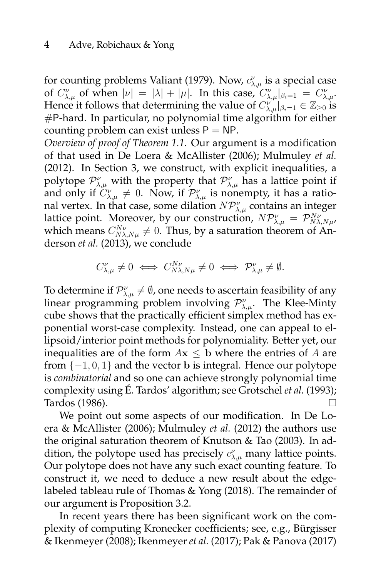for counting problems Valiant (1979). Now,  $c^{\nu}_{\lambda,\mu}$  is a special case of  $C_{\lambda,\mu}^{\nu}$  of when  $|\nu| = |\lambda| + |\mu|$ . In this case,  $C_{\lambda,\mu}^{\nu}|_{\beta_i=1} = C_{\lambda,\mu}^{\nu}$ . Hence it follows that determining the value of  $C_{\lambda,\mu}^{\nu} |_{\beta_i=1} \in \mathbb{Z}_{\geq 0}$  is  $#P$ -hard. In particular, no polynomial time algorithm for either counting problem can exist unless  $P = NP$ .

*Overview of proof of Theorem 1.1.* Our argument is a modification of that used in De Loera & McAllister (2006); Mulmuley *et al.* (2012). In Section 3, we construct, with explicit inequalities, a polytope  $\mathcal{P}_{\lambda,\mu}^{\nu}$  with the property that  $\mathcal{P}_{\lambda,\mu}^{\nu}$  has a lattice point if and only if  $C_{\lambda,\mu}^{\nu} \neq 0$ . Now, if  $\mathcal{P}_{\lambda,\mu}^{\nu}$  is nonempty, it has a rational vertex. In that case, some dilation  $N\mathcal{P}_{\lambda,\mu}^{\nu}$  contains an integer lattice point. Moreover, by our construction,  $N \mathcal{P}_{\lambda,\mu}^{\nu} = \mathcal{P}_{N \lambda,N \mu}^{N \nu}$ which means  $C_{N\lambda,N\mu}^{N\nu}\neq 0$ . Thus, by a saturation theorem of Anderson *et al.* (2013), we conclude

$$
C_{\lambda,\mu}^{\nu} \neq 0 \iff C_{N\lambda,N\mu}^{N\nu} \neq 0 \iff \mathcal{P}_{\lambda,\mu}^{\nu} \neq \emptyset.
$$

To determine if  $\mathcal{P}_{\lambda,\mu}^{\nu}\neq\emptyset$ , one needs to ascertain feasibility of any linear programming problem involving  $\mathcal{P}_{\lambda,\mu}^{\nu}$ . The Klee-Minty cube shows that the practically efficient simplex method has exponential worst-case complexity. Instead, one can appeal to ellipsoid/interior point methods for polynomiality. Better yet, our inequalities are of the form  $Ax \leq b$  where the entries of A are from  $\{-1, 0, 1\}$  and the vector b is integral. Hence our polytope is *combinatorial* and so one can achieve strongly polynomial time complexity using É. Tardos' algorithm; see Grotschel et al. (1993);  $\Box$ Tardos (1986).  $\Box$ 

We point out some aspects of our modification. In De Loera & McAllister (2006); Mulmuley *et al.* (2012) the authors use the original saturation theorem of Knutson & Tao (2003). In addition, the polytope used has precisely  $c^{\nu}_{\lambda,\mu}$  many lattice points. Our polytope does not have any such exact counting feature. To construct it, we need to deduce a new result about the edgelabeled tableau rule of Thomas & Yong (2018). The remainder of our argument is Proposition 3.2.

In recent years there has been significant work on the complexity of computing Kronecker coefficients; see, e.g., Bürgisser & Ikenmeyer (2008); Ikenmeyer *et al.* (2017); Pak & Panova (2017)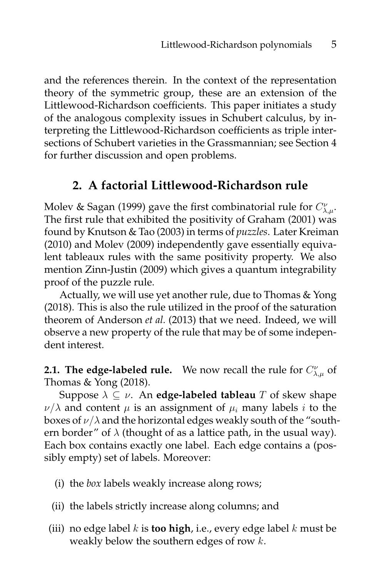and the references therein. In the context of the representation theory of the symmetric group, these are an extension of the Littlewood-Richardson coefficients. This paper initiates a study of the analogous complexity issues in Schubert calculus, by interpreting the Littlewood-Richardson coefficients as triple intersections of Schubert varieties in the Grassmannian; see Section 4 for further discussion and open problems.

#### **2. A factorial Littlewood-Richardson rule**

Molev & Sagan (1999) gave the first combinatorial rule for  $C_{\lambda,\mu}^{\nu}.$ The first rule that exhibited the positivity of Graham (2001) was found by Knutson & Tao (2003) in terms of *puzzles*. Later Kreiman (2010) and Molev (2009) independently gave essentially equivalent tableaux rules with the same positivity property. We also mention Zinn-Justin (2009) which gives a quantum integrability proof of the puzzle rule.

Actually, we will use yet another rule, due to Thomas & Yong (2018). This is also the rule utilized in the proof of the saturation theorem of Anderson *et al.* (2013) that we need. Indeed, we will observe a new property of the rule that may be of some independent interest.

**2.1. The edge-labeled rule.** We now recall the rule for  $C^{\nu}_{\lambda,\mu}$  of Thomas & Yong (2018).

Suppose  $\lambda \subseteq \nu$ . An **edge-labeled tableau** T of skew shape  $\nu/\lambda$  and content  $\mu$  is an assignment of  $\mu_i$  many labels *i* to the boxes of  $\nu/\lambda$  and the horizontal edges weakly south of the "southern border" of  $\lambda$  (thought of as a lattice path, in the usual way). Each box contains exactly one label. Each edge contains a (possibly empty) set of labels. Moreover:

- (i) the *box* labels weakly increase along rows;
- (ii) the labels strictly increase along columns; and
- (iii) no edge label  $k$  is **too high**, i.e., every edge label  $k$  must be weakly below the southern edges of row k.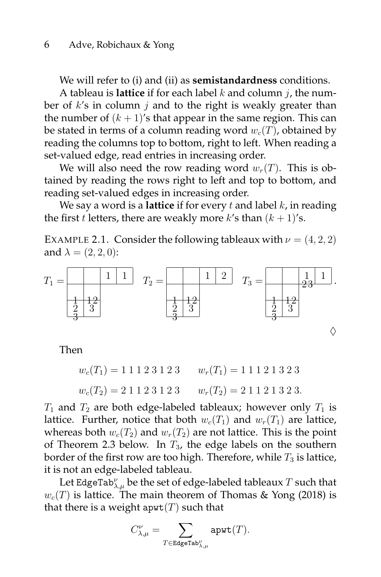We will refer to (i) and (ii) as **semistandardness** conditions.

A tableau is **lattice** if for each label  $k$  and column  $j$ , the number of  $k$ 's in column  $j$  and to the right is weakly greater than the number of  $(k + 1)$ 's that appear in the same region. This can be stated in terms of a column reading word  $w_c(T)$ , obtained by reading the columns top to bottom, right to left. When reading a set-valued edge, read entries in increasing order.

We will also need the row reading word  $w_r(T)$ . This is obtained by reading the rows right to left and top to bottom, and reading set-valued edges in increasing order.

We say a word is a **lattice** if for every t and label k, in reading the first *t* letters, there are weakly more *k*'s than  $(k + 1)$ 's.

EXAMPLE 2.1. Consider the following tableaux with  $\nu = (4, 2, 2)$ and  $\lambda = (2, 2, 0)$ :



Then

$$
w_c(T_1) = 1 1 1 2 3 1 2 3
$$
  $w_r(T_1) = 1 1 1 2 1 3 2 3$   
 $w_c(T_2) = 2 1 1 2 3 1 2 3$   $w_r(T_2) = 2 1 1 2 1 3 2 3$ .

 $T_1$  and  $T_2$  are both edge-labeled tableaux; however only  $T_1$  is lattice. Further, notice that both  $w_c(T_1)$  and  $w_r(T_1)$  are lattice, whereas both  $w_c(T_2)$  and  $w_r(T_2)$  are not lattice. This is the point of Theorem 2.3 below. In  $T_3$ , the edge labels on the southern border of the first row are too high. Therefore, while  $T_3$  is lattice, it is not an edge-labeled tableau.

Let EdgeTab $_{\lambda,\mu}^{\nu}$  be the set of edge-labeled tableaux  $T$  such that  $w_c(T)$  is lattice. The main theorem of Thomas & Yong (2018) is that there is a weight apwt $(T)$  such that

$$
C_{\lambda,\mu}^{\nu}=\sum_{T\in\mathrm{EdgeTab}_{\lambda,\mu}^{\nu}}\mathrm{apwt}(T).
$$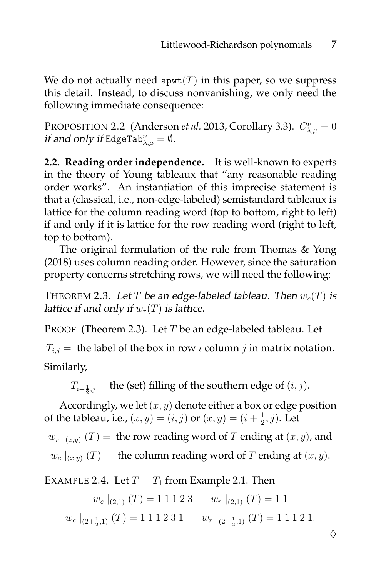We do not actually need apwt $(T)$  in this paper, so we suppress this detail. Instead, to discuss nonvanishing, we only need the following immediate consequence:

PROPOSITION 2.2 (Anderson *et al.* 2013, Corollary 3.3).  $C_{\lambda,\mu}^{\nu}=0$ if and only if EdgeTab $_{\lambda,\mu}^{\nu}=\emptyset.$ 

**2.2. Reading order independence.** It is well-known to experts in the theory of Young tableaux that "any reasonable reading order works". An instantiation of this imprecise statement is that a (classical, i.e., non-edge-labeled) semistandard tableaux is lattice for the column reading word (top to bottom, right to left) if and only if it is lattice for the row reading word (right to left, top to bottom).

The original formulation of the rule from Thomas & Yong (2018) uses column reading order. However, since the saturation property concerns stretching rows, we will need the following:

THEOREM 2.3. Let T be an edge-labeled tableau. Then  $w_c(T)$  is lattice if and only if  $w_r(T)$  is lattice.

PROOF (Theorem 2.3). Let  $T$  be an edge-labeled tableau. Let  $T_{i,j}$  = the label of the box in row *i* column *j* in matrix notation. Similarly,

 $T_{i+\frac{1}{2},j}$  = the (set) filling of the southern edge of  $(i,j)$ .

Accordingly, we let  $(x, y)$  denote either a box or edge position of the tableau, i.e.,  $(x, y) = (i, j)$  or  $(x, y) = (i + \frac{1}{2})$  $(\frac{1}{2}, j)$ . Let

 $w_r |_{(x,y)}(T)$  = the row reading word of T ending at  $(x, y)$ , and

 $w_c |_{(x,y)}(T)$  = the column reading word of T ending at  $(x, y)$ .

EXAMPLE 2.4. Let  $T = T_1$  from Example 2.1. Then

$$
w_c |_{(2,1)} (T) = 1 1 1 2 3 \qquad w_r |_{(2,1)} (T) = 1 1
$$
  

$$
w_c |_{(2+\frac{1}{2},1)} (T) = 1 1 1 2 3 1 \qquad w_r |_{(2+\frac{1}{2},1)} (T) = 1 1 1 2 1.
$$

 $\Diamond$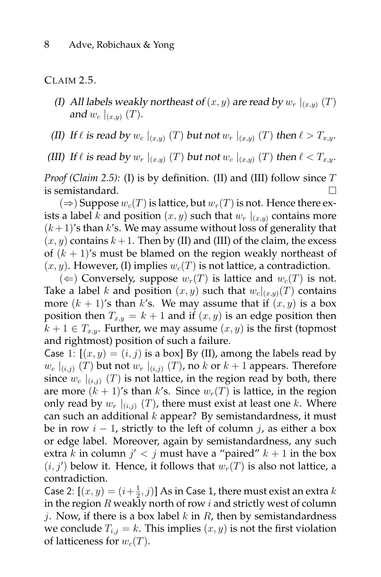CLAIM 2.5.

- (I) All labels weakly northeast of  $(x, y)$  are read by  $w_r |_{(x,y)}$   $(T)$ and  $w_c |_{(x,y)}$  (T).
- (II) If  $\ell$  is read by  $w_c |_{(x,y)} (T)$  but not  $w_r |_{(x,y)} (T)$  then  $\ell > T_{x,y}$ .

(III) If  $\ell$  is read by  $w_r |_{(x,y)} (T)$  but not  $w_c |_{(x,y)} (T)$  then  $\ell < T_{x,y}$ .

*Proof (Claim 2.5):* (I) is by definition. (II) and (III) follow since T is semistandard.

 $(\Rightarrow)$  Suppose  $w_c(T)$  is lattice, but  $w_r(T)$  is not. Hence there exists a label k and position  $(x, y)$  such that  $w_r |_{(x,y)}$  contains more  $(k+1)$ 's than k's. We may assume without loss of generality that  $(x, y)$  contains  $k + 1$ . Then by (II) and (III) of the claim, the excess of  $(k + 1)$ 's must be blamed on the region weakly northeast of  $(x, y)$ . However, (I) implies  $w_c(T)$  is not lattice, a contradiction.

(←) Conversely, suppose  $w_r(T)$  is lattice and  $w_c(T)$  is not. Take a label k and position  $(x, y)$  such that  $w_c|_{(x,y)}(T)$  contains more  $(k + 1)$ 's than k's. We may assume that if  $(x, y)$  is a box position then  $T_{x,y} = k + 1$  and if  $(x, y)$  is an edge position then  $k + 1 \in T_{x,y}$ . Further, we may assume  $(x, y)$  is the first (topmost and rightmost) position of such a failure.

Case 1:  $[(x, y) = (i, j)$  is a box] By (II), among the labels read by  $w_c |_{(i,j)}$  (T) but not  $w_r |_{(i,j)}$  (T), no k or  $k+1$  appears. Therefore since  $w_c |_{(i,j)}(T)$  is not lattice, in the region read by both, there are more  $(k + 1)$ 's than k's. Since  $w_r(T)$  is lattice, in the region only read by  $w_r |_{(i,j)}$  (T), there must exist at least one k. Where can such an additional  $k$  appear? By semistandardness, it must be in row  $i - 1$ , strictly to the left of column j, as either a box or edge label. Moreover, again by semistandardness, any such extra k in column  $j' < j$  must have a "paired"  $k + 1$  in the box  $(i, j')$  below it. Hence, it follows that  $w_r(T)$  is also not lattice, a contradiction.

Case 2:  $[(x, y) = (i + \frac{1}{2})]$  $(\frac{1}{2}, j)$ ] As in Case 1, there must exist an extra  $k$ in the region  $R$  weakly north of row  $i$  and strictly west of column j. Now, if there is a box label  $k$  in  $R$ , then by semistandardness we conclude  $T_{i,j} = k$ . This implies  $(x, y)$  is not the first violation of latticeness for  $w_c(T)$ .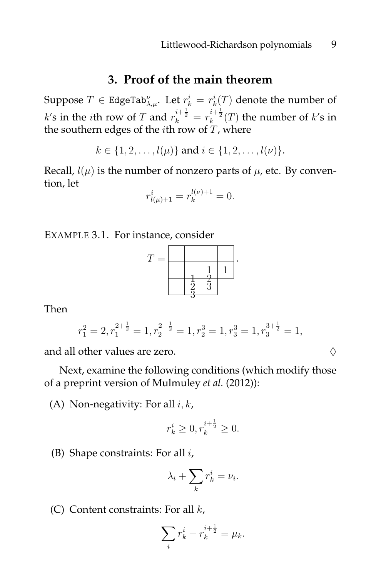#### **3. Proof of the main theorem**

Suppose  $T\in\texttt{EdgeTab}_{\lambda,\mu}^{\nu}.$  Let  $r_k^i=r_k^i(T)$  denote the number of  $k$ 's in the *i*th row of  $T$  and  $r_k^{i+\frac{1}{2}} = r_k^{i+\frac{1}{2}}(T)$  the number of  $k$ 's in the southern edges of the *i*th row of  $T$ , where

 $k \in \{1, 2, \ldots, l(\mu)\}\$  and  $i \in \{1, 2, \ldots, l(\nu)\}\$ .

Recall,  $l(\mu)$  is the number of nonzero parts of  $\mu$ , etc. By convention, let

$$
r_{l(\mu)+1}^i = r_k^{l(\nu)+1} = 0.
$$

EXAMPLE 3.1. For instance, consider



Then

$$
r_1^2 = 2, r_1^{2 + \frac{1}{2}} = 1, r_2^{2 + \frac{1}{2}} = 1, r_2^3 = 1, r_3^3 = 1, r_3^{3 + \frac{1}{2}} = 1,
$$

and all other values are zero.  $\Diamond$ 

Next, examine the following conditions (which modify those of a preprint version of Mulmuley *et al.* (2012)):

(A) Non-negativity: For all  $i, k$ ,

$$
r_k^i \ge 0, r_k^{i + \frac{1}{2}} \ge 0.
$$

(B) Shape constraints: For all i,

$$
\lambda_i + \sum_k r_k^i = \nu_i.
$$

(C) Content constraints: For all  $k$ ,

$$
\sum_i r_k^i + r_k^{i + \frac{1}{2}} = \mu_k.
$$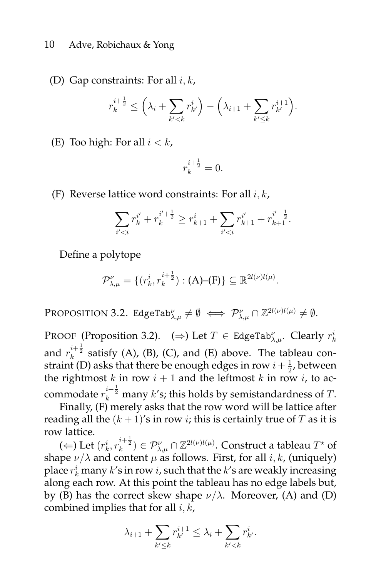#### 10 Adve, Robichaux & Yong

(D) Gap constraints: For all  $i, k$ ,

$$
r_k^{i+\frac{1}{2}} \leq \left(\lambda_i + \sum_{k' < k} r_{k'}^i\right) - \left(\lambda_{i+1} + \sum_{k' \leq k} r_{k'}^{i+1}\right).
$$

(E) Too high: For all  $i < k$ ,

$$
r_k^{i+\frac{1}{2}} = 0.
$$

(F) Reverse lattice word constraints: For all  $i, k$ ,

$$
\sum_{i' < i} r_k^{i'} + r_k^{i'+\frac{1}{2}} \ge r_{k+1}^i + \sum_{i' < i} r_{k+1}^{i'} + r_{k+1}^{i'+\frac{1}{2}}.
$$

Define a polytope

$$
\mathcal{P}_{\lambda,\mu}^{\nu} = \{ (r_k^i, r_k^{i+\frac{1}{2}}) : (A)–(F) \} \subseteq \mathbb{R}^{2l(\nu)l(\mu)}.
$$

 $\text{PROPOSITION 3.2. EdgeTab}_{\lambda,\mu}^{\nu} \neq \emptyset \iff \mathcal{P}_{\lambda,\mu}^{\nu} \cap \mathbb{Z}^{2l(\nu)l(\mu)} \neq \emptyset.$ 

PROOF (Proposition 3.2). (⇒) Let  $T \in \texttt{EdgeTab}_{\lambda,\mu}^\nu.$  Clearly  $r_k^i$ and  $r_k^{i+\frac{1}{2}}$  satisfy (A), (B), (C), and (E) above. The tableau constraint (D) asks that there be enough edges in row  $i+\frac{1}{2}$  $\frac{1}{2}$ , between the rightmost  $k$  in row  $i + 1$  and the leftmost  $k$  in row  $i$ , to accommodate  $r_k^{i+\frac{1}{2}}$  many  $k$ 's; this holds by semistandardness of  $T.$ 

Finally, (F) merely asks that the row word will be lattice after reading all the  $(k + 1)$ 's in row *i*; this is certainly true of T as it is row lattice.

(⇐) Let  $(r_k^i, r_k^{i+\frac{1}{2}}) \in \mathcal{P}_{\lambda, \mu}^\nu \cap \mathbb{Z}^{2l(\nu)l(\mu)}.$  Construct a tableau  $T^\star$  of shape  $\nu/\lambda$  and content  $\mu$  as follows. First, for all i, k, (uniquely) place  $r_k^i$  many  $k$ 's in row  $i$ , such that the  $k$ 's are weakly increasing along each row. At this point the tableau has no edge labels but, by (B) has the correct skew shape  $\nu/\lambda$ . Moreover, (A) and (D) combined implies that for all  $i, k$ ,

$$
\lambda_{i+1} + \sum_{k' \le k} r_{k'}^{i+1} \le \lambda_i + \sum_{k' < k} r_{k'}^i.
$$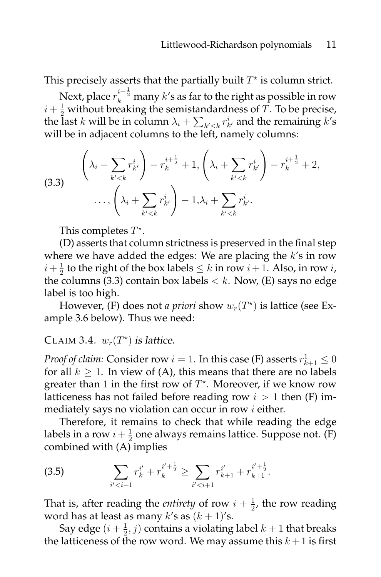This precisely asserts that the partially built  $T^*$  is column strict.

Next, place  $r_k^{i+\frac{1}{2}}$  many  $k$ 's as far to the right as possible in row  $i + \frac{1}{2}$  without breaking the semistandardness of T. To be precise, the last k will be in column  $\lambda_i + \sum_{k' < k} r_{k'}^i$  and the remaining k's will be in adjacent columns to the left, namely columns:

(3.3) 
$$
\left(\lambda_i + \sum_{k' < k} r_{k'}^i\right) - r_k^{i + \frac{1}{2}} + 1, \left(\lambda_i + \sum_{k' < k} r_{k'}^i\right) - r_k^{i + \frac{1}{2}} + 2, \\ \dots, \left(\lambda_i + \sum_{k' < k} r_{k'}^i\right) - 1, \lambda_i + \sum_{k' < k} r_{k'}^i.
$$

This completes  $T^*$ .

(D) asserts that column strictness is preserved in the final step where we have added the edges: We are placing the  $k$ 's in row  $i + \frac{1}{2}$  $\frac{1}{2}$  to the right of the box labels  $\leq k$  in row  $i+1$ . Also, in row  $i$ , the columns (3.3) contain box labels  $< k$ . Now, (E) says no edge label is too high.

However, (F) does not *a priori* show  $w_r(T^*)$  is lattice (see Example 3.6 below). Thus we need:

#### CLAIM 3.4.  $w_r(T^*)$  is lattice.

*Proof of claim:* Consider row  $i=1.$  In this case (F) asserts  $r_{k+1}^1 \leq 0$ for all  $k \geq 1$ . In view of (A), this means that there are no labels greater than 1 in the first row of  $T^*$ . Moreover, if we know row latticeness has not failed before reading row  $i > 1$  then (F) immediately says no violation can occur in row i either.

Therefore, it remains to check that while reading the edge labels in a row  $i+\frac{1}{2}$  $\frac{1}{2}$  one always remains lattice. Suppose not. (F) combined with (A) implies

$$
(3.5) \qquad \qquad \sum_{i' < i+1} r_k^{i'} + r_k^{i'+\frac{1}{2}} \ge \sum_{i' < i+1} r_{k+1}^{i'} + r_{k+1}^{i'+\frac{1}{2}}.
$$

That is, after reading the *entirety* of row  $i + \frac{1}{2}$  $\frac{1}{2}$ , the row reading word has at least as many  $k$ 's as  $(k + 1)$ 's.

Say edge  $(i + \frac{1}{2})$  $(\frac{1}{2},j)$  contains a violating label  $k+1$  that breaks the latticeness of the row word. We may assume this  $k+1$  is first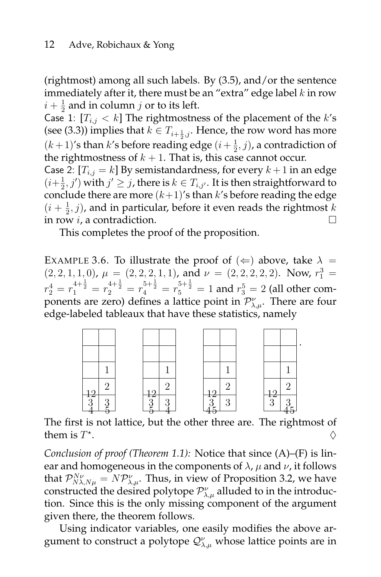(rightmost) among all such labels. By (3.5), and/or the sentence immediately after it, there must be an "extra" edge label  $k$  in row  $i + \frac{1}{2}$  $\frac{1}{2}$  and in column j or to its left.

Case 1:  $[T_{i,j} < k]$  The rightmostness of the placement of the k's (see (3.3)) implies that  $k \in T_{i+\frac{1}{2},j}$ . Hence, the row word has more  $(k+1)$ 's than k's before reading edge  $(i+\frac{1}{2})$  $(\frac{1}{2}, j)$ , a contradiction of the rightmostness of  $k + 1$ . That is, this case cannot occur.

Case 2:  $[T_{i,j} = k]$  By semistandardness, for every  $k+1$  in an edge  $(i+\frac{1}{2})$  $(\frac{1}{2},j')$  with  $j'\geq j$ , there is  $k\in T_{i,j'}.$  It is then straightforward to conclude there are more  $(k+1)$ 's than k's before reading the edge  $(i + \frac{1}{2})$  $(\frac{1}{2},j)$ , and in particular, before it even reads the rightmost  $k$ in row *i*, a contradiction.

This completes the proof of the proposition.

EXAMPLE 3.6. To illustrate the proof of  $(\Leftarrow)$  above, take  $\lambda =$  $(2, 2, 1, 1, 0)$ ,  $\mu = (2, 2, 2, 1, 1)$ , and  $\nu = (2, 2, 2, 2, 2)$ . Now,  $r_1^3$  $r_2^4 = r_1^{4+\frac{1}{2}} = r_2^{4+\frac{1}{2}} = r_4^{5+\frac{1}{2}} = r_5^{5+\frac{1}{2}} = 1$  and  $r_3^5 = 2$  (all other components are zero) defines a lattice point in  $\mathcal{P}_{\lambda,\mu}^{\nu}$ . There are four edge-labeled tableaux that have these statistics, namely



The first is not lattice, but the other three are. The rightmost of them is  $T^*$ .  $\Diamond$ 

*Conclusion of proof (Theorem 1.1):* Notice that since (A)–(F) is linear and homogeneous in the components of  $\lambda$ ,  $\mu$  and  $\nu$ , it follows that  $\mathcal{P}_{N\lambda,N\mu}^{N\nu}=N\mathcal{P}_{\lambda,\mu}^{\nu}$ . Thus, in view of Proposition 3.2, we have constructed the desired polytope  $\mathcal{P}_{\lambda,\mu}^{\nu}$  alluded to in the introduction. Since this is the only missing component of the argument given there, the theorem follows.

Using indicator variables, one easily modifies the above argument to construct a polytope  $\mathcal{Q}_{\lambda,\mu}^{\nu}$  whose lattice points are in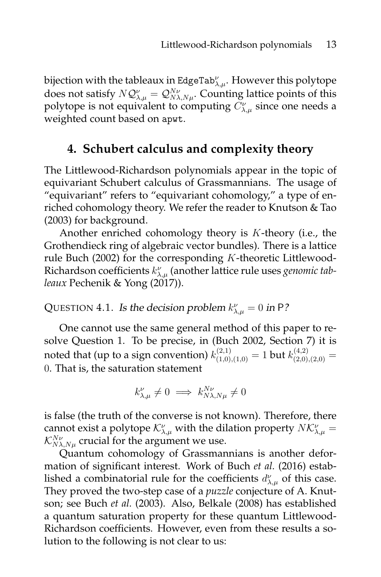bijection with the tableaux in EdgeTab $_{\lambda,\mu}^{\nu}.$  However this polytope does not satisfy  $N{\cal Q}_{\lambda,\mu}^{\nu}={\cal Q}_{N\lambda,N\mu}^{N\nu}$ . Counting lattice points of this polytope is not equivalent to computing  $C_{\lambda,\mu}^{\nu}$  since one needs a weighted count based on apwt.

### **4. Schubert calculus and complexity theory**

The Littlewood-Richardson polynomials appear in the topic of equivariant Schubert calculus of Grassmannians. The usage of "equivariant" refers to "equivariant cohomology," a type of enriched cohomology theory. We refer the reader to Knutson & Tao (2003) for background.

Another enriched cohomology theory is K-theory (i.e., the Grothendieck ring of algebraic vector bundles). There is a lattice rule Buch (2002) for the corresponding  $K$ -theoretic Littlewood-Richardson coefficients  $k_{\lambda,\mu}^{\nu}$  (another lattice rule uses *genomic tableaux* Pechenik & Yong (2017)).

QUESTION 4.1. Is the decision problem  $k_{\lambda,\mu}^{\nu}=0$  in <code>P?</code>

One cannot use the same general method of this paper to resolve Question 1. To be precise, in (Buch 2002, Section 7) it is noted that (up to a sign convention)  $k_{(1,0),(1,0)}^{(2,1)} = 1$  but  $k_{(2,0),(2,0)}^{(4,2)} = 1$ 0. That is, the saturation statement

$$
k_{\lambda,\mu}^{\nu} \neq 0 \implies k_{N\lambda,N\mu}^{N\nu} \neq 0
$$

is false (the truth of the converse is not known). Therefore, there cannot exist a polytope  $\mathcal{K}_{\lambda,\mu}^{\nu}$  with the dilation property  $N\mathcal{K}_{\lambda,\mu}^{\nu}$  =  $\mathcal{K}_{N\lambda,N\mu}^{N\nu}$  crucial for the argument we use.

Quantum cohomology of Grassmannians is another deformation of significant interest. Work of Buch *et al.* (2016) established a combinatorial rule for the coefficients  $d^{\nu}_{\lambda,\mu}$  of this case. They proved the two-step case of a *puzzle* conjecture of A. Knutson; see Buch *et al.* (2003). Also, Belkale (2008) has established a quantum saturation property for these quantum Littlewood-Richardson coefficients. However, even from these results a solution to the following is not clear to us: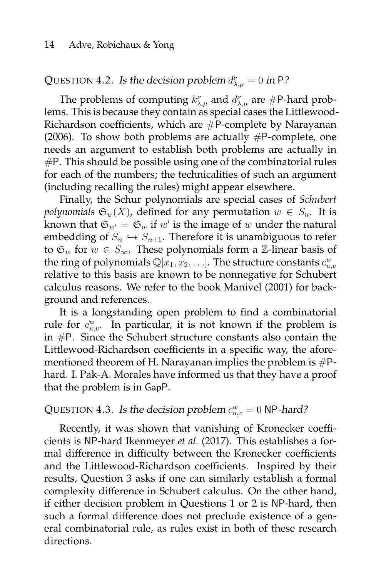### QUESTION 4.2. Is the decision problem  $d_{\lambda,\mu}^{\nu}=0$  in <code>P?</code>

The problems of computing  $k_{\lambda,\mu}^{\nu}$  and  $d_{\lambda,\mu}^{\nu}$  are #P-hard problems. This is because they contain as special cases the Littlewood-Richardson coefficients, which are #P-complete by Narayanan (2006). To show both problems are actually  $#P$ -complete, one needs an argument to establish both problems are actually in  $#P$ . This should be possible using one of the combinatorial rules for each of the numbers; the technicalities of such an argument (including recalling the rules) might appear elsewhere.

Finally, the Schur polynomials are special cases of *Schubert polynomials*  $\mathfrak{S}_w(X)$ , defined for any permutation  $w \in S_n$ . It is known that  $\mathfrak{S}_{w'} = \mathfrak{S}_w$  if  $w'$  is the image of  $w$  under the natural embedding of  $S_n \hookrightarrow S_{n+1}$ . Therefore it is unambiguous to refer to  $\mathfrak{S}_w$  for  $w \in S_\infty$ . These polynomials form a Z-linear basis of the ring of polynomials  $\mathbb{Q}[x_1, x_2, \ldots]$ . The structure constants  $c_{u,v}^w$ relative to this basis are known to be nonnegative for Schubert calculus reasons. We refer to the book Manivel (2001) for background and references.

It is a longstanding open problem to find a combinatorial rule for  $c_{u,v}^w$ . In particular, it is not known if the problem is in #P. Since the Schubert structure constants also contain the Littlewood-Richardson coefficients in a specific way, the aforementioned theorem of H. Narayanan implies the problem is  $\#P$ hard. I. Pak-A. Morales have informed us that they have a proof that the problem is in GapP.

### QUESTION 4.3. Is the decision problem  $c_{u,v}^w = 0$  NP-hard?

Recently, it was shown that vanishing of Kronecker coefficients is NP-hard Ikenmeyer *et al.* (2017). This establishes a formal difference in difficulty between the Kronecker coefficients and the Littlewood-Richardson coefficients. Inspired by their results, Question 3 asks if one can similarly establish a formal complexity difference in Schubert calculus. On the other hand, if either decision problem in Questions 1 or 2 is NP-hard, then such a formal difference does not preclude existence of a general combinatorial rule, as rules exist in both of these research directions.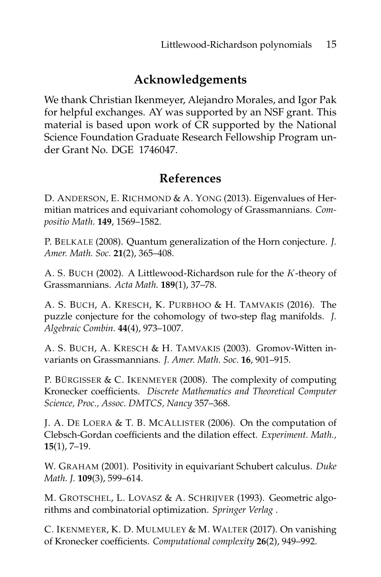## **Acknowledgements**

We thank Christian Ikenmeyer, Alejandro Morales, and Igor Pak for helpful exchanges. AY was supported by an NSF grant. This material is based upon work of CR supported by the National Science Foundation Graduate Research Fellowship Program under Grant No. DGE 1746047.

### **References**

D. ANDERSON, E. RICHMOND & A. YONG (2013). Eigenvalues of Hermitian matrices and equivariant cohomology of Grassmannians. *Compositio Math.* **149**, 1569–1582.

P. BELKALE (2008). Quantum generalization of the Horn conjecture. *J. Amer. Math. Soc.* **21**(2), 365–408.

A. S. BUCH (2002). A Littlewood-Richardson rule for the K-theory of Grassmannians. *Acta Math.* **189**(1), 37–78.

A. S. BUCH, A. KRESCH, K. PURBHOO & H. TAMVAKIS (2016). The puzzle conjecture for the cohomology of two-step flag manifolds. *J. Algebraic Combin.* **44**(4), 973–1007.

A. S. BUCH, A. KRESCH & H. TAMVAKIS (2003). Gromov-Witten invariants on Grassmannians. *J. Amer. Math. Soc.* **16**, 901–915.

P. BÜRGISSER & C. IKENMEYER (2008). The complexity of computing Kronecker coefficients. *Discrete Mathematics and Theoretical Computer Science, Proc., Assoc. DMTCS, Nancy* 357–368.

J. A. DE LOERA & T. B. MCALLISTER (2006). On the computation of Clebsch-Gordan coefficients and the dilation effect. *Experiment. Math.,* **15**(1), 7–19.

W. GRAHAM (2001). Positivity in equivariant Schubert calculus. *Duke Math. J.* **109**(3), 599–614.

M. GROTSCHEL, L. LOVASZ & A. SCHRIJVER (1993). Geometric algorithms and combinatorial optimization. *Springer Verlag* .

C. IKENMEYER, K. D. MULMULEY & M. WALTER (2017). On vanishing of Kronecker coefficients. *Computational complexity* **26**(2), 949–992.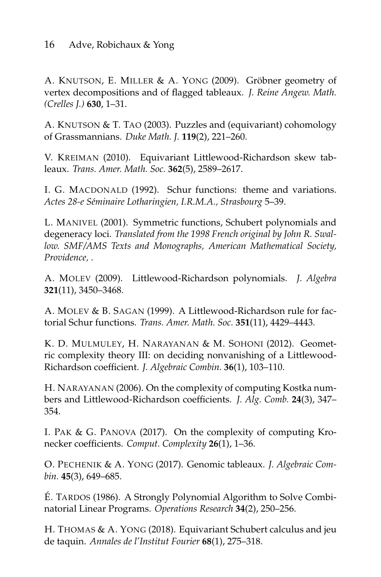#### 16 Adve, Robichaux & Yong

A. KNUTSON, E. MILLER & A. YONG (2009). Gröbner geometry of vertex decompositions and of flagged tableaux. *J. Reine Angew. Math. (Crelles J.)* **630**, 1–31.

A. KNUTSON & T. TAO (2003). Puzzles and (equivariant) cohomology of Grassmannians. *Duke Math. J.* **119**(2), 221–260.

V. KREIMAN (2010). Equivariant Littlewood-Richardson skew tableaux. *Trans. Amer. Math. Soc.* **362**(5), 2589–2617.

I. G. MACDONALD (1992). Schur functions: theme and variations. *Actes 28-e S´eminaire Lotharingien, I.R.M.A., Strasbourg* 5–39.

L. MANIVEL (2001). Symmetric functions, Schubert polynomials and degeneracy loci. *Translated from the 1998 French original by John R. Swallow. SMF/AMS Texts and Monographs, American Mathematical Society, Providence,* .

A. MOLEV (2009). Littlewood-Richardson polynomials. *J. Algebra* **321**(11), 3450–3468.

A. MOLEV & B. SAGAN (1999). A Littlewood-Richardson rule for factorial Schur functions. *Trans. Amer. Math. Soc.* **351**(11), 4429–4443.

K. D. MULMULEY, H. NARAYANAN & M. SOHONI (2012). Geometric complexity theory III: on deciding nonvanishing of a Littlewood-Richardson coefficient. *J. Algebraic Combin.* **36**(1), 103–110.

H. NARAYANAN (2006). On the complexity of computing Kostka numbers and Littlewood-Richardson coefficients. *J. Alg. Comb.* **24**(3), 347– 354.

I. PAK & G. PANOVA (2017). On the complexity of computing Kronecker coefficients. *Comput. Complexity* **26**(1), 1–36.

O. PECHENIK & A. YONG (2017). Genomic tableaux. *J. Algebraic Combin.* **45**(3), 649–685.

É. TARDOS (1986). A Strongly Polynomial Algorithm to Solve Combinatorial Linear Programs. *Operations Research* **34**(2), 250–256.

H. THOMAS & A. YONG (2018). Equivariant Schubert calculus and jeu de taquin. *Annales de l'Institut Fourier* **68**(1), 275–318.